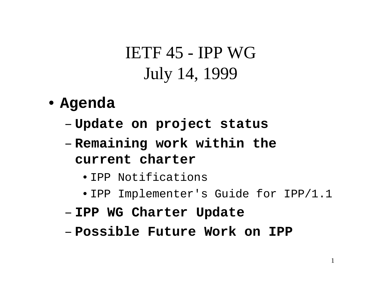- **Agenda**
	- **Links of the Company Update on project status**
	- **Links of the Company Remaining work within the current charter**
		- IPP Notifications
		- IPP Implementer's Guide for IPP/1.1
	- **Links of the Company IPP WG Charter Update**
	- **Possible Future Work on IPP**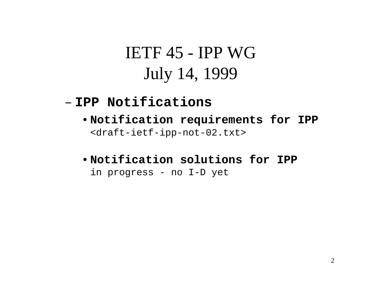#### – **IPP Notifications**

- •**Notification requirements for IPP** <draft-ietf-ipp-not-02.txt>
- •**Notification solutions for IPP**in progress - no I-D yet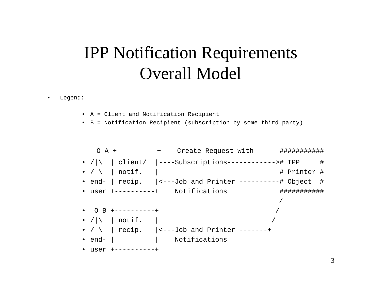#### IPP Notification Requirements Overall Model

•Legend:

- A = Client and Notification Recipient
- B = Notification Recipient (subscription by some third party)

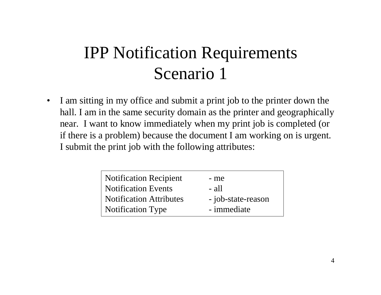• I am sitting in my office and submit a print job to the printer down the hall. I am in the same security domain as the printer and geographically near. I want to know immediately when my print job is completed (or if there is a problem) because the document I am working on is urgent. I submit the print job with the following attributes:

| <b>Notification Recipient</b>  | - me               |
|--------------------------------|--------------------|
| <b>Notification Events</b>     | $-$ all            |
| <b>Notification Attributes</b> | - job-state-reason |
| <b>Notification Type</b>       | - immediate        |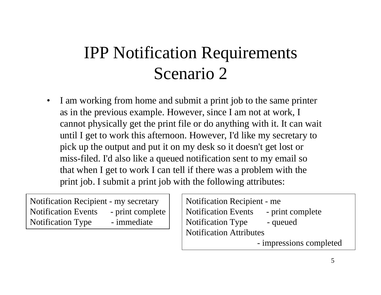• I am working from home and submit a print job to the same printer as in the previous example. However, since I am not at work, I cannot physically get the print file or do anything with it. It can wait until I get to work this afternoon. However, I'd like my secretary to pick up the output and put it on my desk so it doesn't get lost or miss-filed. I'd also like a queued notification sent to my email so that when I get to work I can tell if there was a problem with the print job. I submit a print job with the following attributes:

Notification Recipient - my secretary Notification Events - print complete Notification Type - immediate

Notification Recipient - me Notification Events - print complete Notification Type - queued Notification Attributes- impressions completed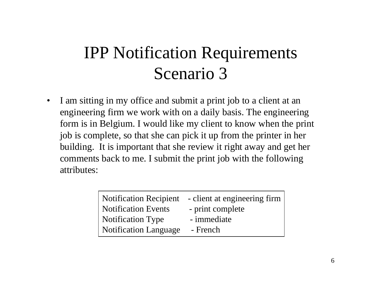$\bullet$  I am sitting in my office and submit a print job to a client at an engineering firm we work with on a daily basis. The engineering form is in Belgium. I would like my client to know when the print job is complete, so that she can pick it up from the printer in her building. It is important that she review it right away and get her comments back to me. I submit the print job with the following attributes:

| <b>Notification Recipient</b> | - client at engineering firm |
|-------------------------------|------------------------------|
| <b>Notification Events</b>    | - print complete             |
| <b>Notification Type</b>      | - immediate                  |
| Notification Language         | - French                     |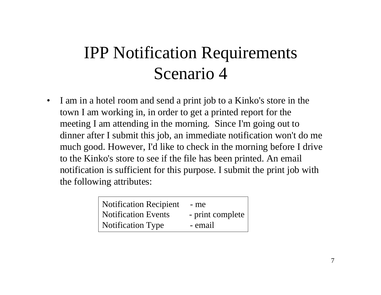$\bullet$  I am in a hotel room and send a print job to a Kinko's store in the town I am working in, in order to get a printed report for the meeting I am attending in the morning. Since I'm going out to dinner after I submit this job, an immediate notification won't do me much good. However, I'd like to check in the morning before I drive to the Kinko's store to see if the file has been printed. An email notification is sufficient for this purpose. I submit the print job with the following attributes:

| Notification Recipient | - me             |
|------------------------|------------------|
| Notification Events    | - print complete |
| Notification Type      | - email          |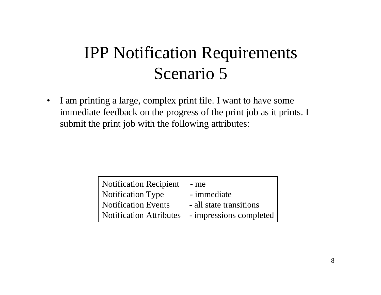• I am printing a large, complex print file. I want to have some immediate feedback on the progress of the print job as it prints. I submit the print job with the following attributes:

| <b>Notification Recipient</b>  | - me                    |
|--------------------------------|-------------------------|
| <b>Notification Type</b>       | - immediate             |
| <b>Notification Events</b>     | - all state transitions |
| <b>Notification Attributes</b> | - impressions completed |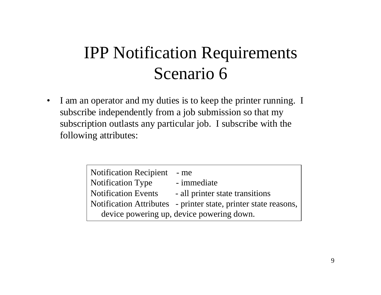• I am an operator and my duties is to keep the printer running. I subscribe independently from a job submission so that my subscription outlasts any particular job. I subscribe with the following attributes:

| <b>Notification Recipient</b>             | $-$ me                                                          |
|-------------------------------------------|-----------------------------------------------------------------|
| <b>Notification Type</b>                  | - immediate                                                     |
| <b>Notification Events</b>                | - all printer state transitions                                 |
|                                           | Notification Attributes - printer state, printer state reasons, |
| device powering up, device powering down. |                                                                 |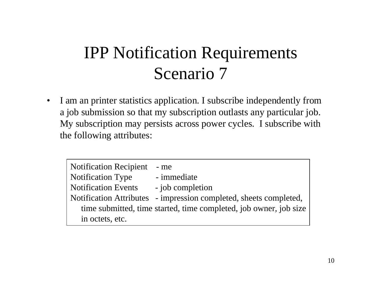$\bullet$  I am an printer statistics application. I subscribe independently from a job submission so that my subscription outlasts any particular job. My subscription may persists across power cycles. I subscribe with the following attributes:

Notification Recipient - me Notification Type - immediate Notification Events - job completion Notification Attributes - impression completed, sheets completed, time submitted, time started, time completed, job owner, job size in octets, etc.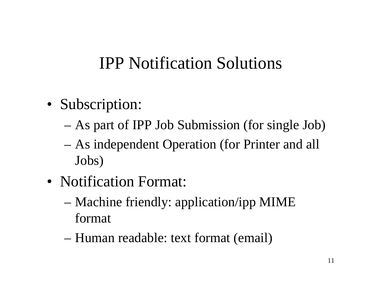#### IPP Notification Solutions

- Subscription:
	- –As part of IPP Job Submission (for single Job)
	- – As independent Operation (for Printer and all Jobs)
- Notification Format:
	- – Machine friendly: application/ipp MIME format
	- –Human readable: text format (email)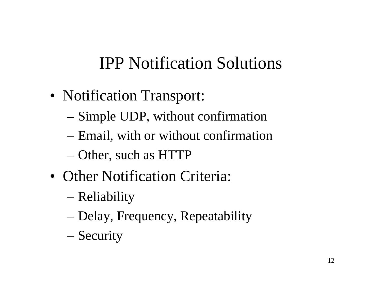# IPP Notification Solutions

- Notification Transport:
	- –Simple UDP, without confirmation
	- –Email, with or without confirmation
	- –Other, such as HTTP
- Other Notification Criteria:
	- –Reliability
	- –Delay, Frequency, Repeatability
	- –Security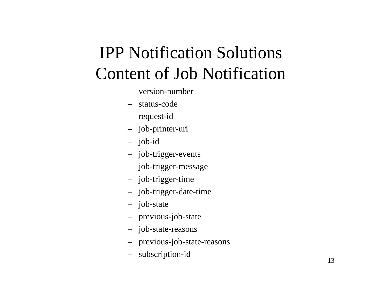# IPP Notification Solutions Content of Job Notification

- version-number
- status-code
- request-id
- job-printer-uri
- job-id
- job-trigger-events
- job-trigger-message
- job-trigger-time
- job-trigger-date-time
- job-state
- previous-job-state
- job-state-reasons
- previous-job-state-reasons
- subscription-id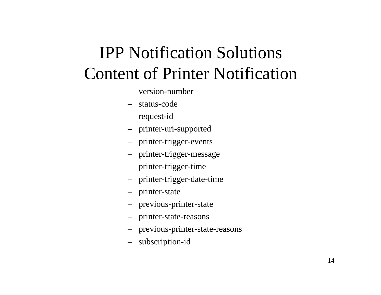# IPP Notification Solutions Content of Printer Notification

- version-number
- status-code
- request-id
- printer-uri-supported
- printer-trigger-events
- printer-trigger-message
- printer-trigger-time
- printer-trigger-date-time
- printer-state
- previous-printer-state
- printer-state-reasons
- previous-printer-state-reasons
- subscription-id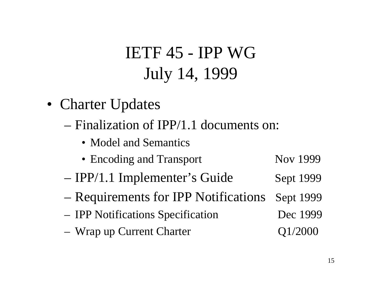- Charter Updates
	- Finalization of IPP/1.1 documents on:
		- Model and Semantics
		- Encoding and Transport Nov 1999
	- –IPP/1.1 Implementer's Guide Sept 1999
	- –Requirements for IPP Notifications Sept 1999
	- IPP Notifications Specification Dec 1999
	- Wrap up Current Charter  $Q1/2000$